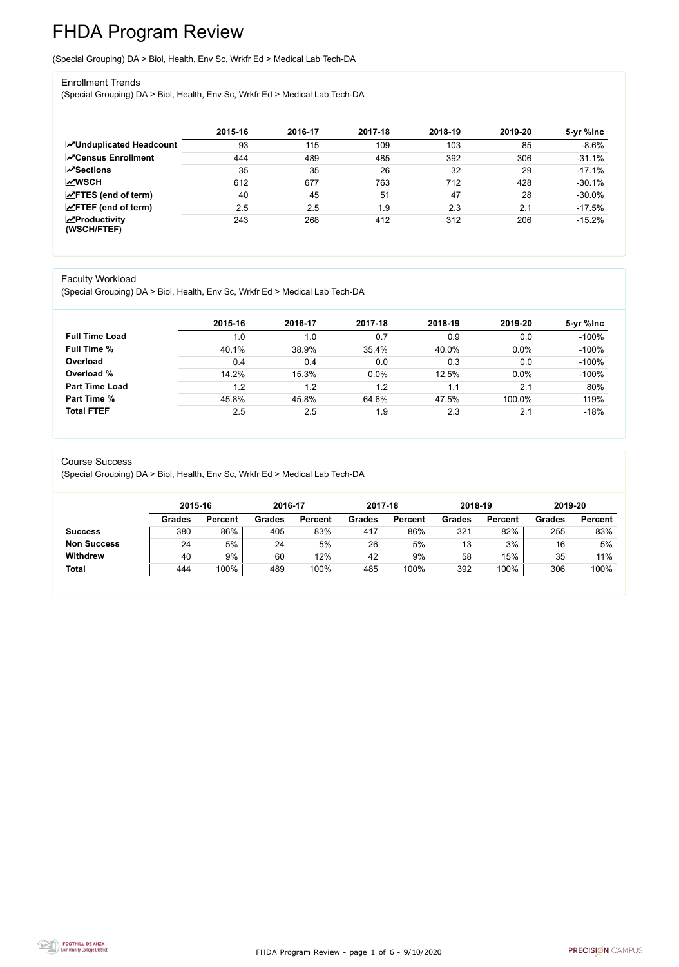FHDA Program Review - page 1 of 6 - 9/10/2020



# FHDA Program Review

(Special Grouping) DA > Biol, Health, Env Sc, Wrkfr Ed > Medical Lab Tech-DA

#### Enrollment Trends

(Special Grouping) DA > Biol, Health, Env Sc, Wrkfr Ed > Medical Lab Tech-DA

|                                    | 2015-16 | 2016-17 | 2017-18 | 2018-19 | 2019-20 | 5-yr %lnc |
|------------------------------------|---------|---------|---------|---------|---------|-----------|
| <b>ZUnduplicated Headcount</b>     | 93      | 115     | 109     | 103     | 85      | $-8.6%$   |
| <b>∠</b> Census Enrollment         | 444     | 489     | 485     | 392     | 306     | $-31.1%$  |
| <b>ZSections</b>                   | 35      | 35      | 26      | 32      | 29      | $-17.1%$  |
| <b>MWSCH</b>                       | 612     | 677     | 763     | 712     | 428     | $-30.1%$  |
| $\angle$ FTES (end of term)        | 40      | 45      | 51      | 47      | 28      | $-30.0\%$ |
| $\angle$ FTEF (end of term)        | 2.5     | 2.5     | 1.9     | 2.3     | 2.1     | $-17.5%$  |
| $\chi$ Productivity<br>(WSCH/FTEF) | 243     | 268     | 412     | 312     | 206     | $-15.2%$  |

#### Faculty Workload

(Special Grouping) DA > Biol, Health, Env Sc, Wrkfr Ed > Medical Lab Tech-DA

|                       | 2015-16 | 2016-17 | 2017-18 | 2018-19 | 2019-20 | 5-yr %lnc |
|-----------------------|---------|---------|---------|---------|---------|-----------|
| <b>Full Time Load</b> | 1.0     | 1.0     | 0.7     | 0.9     | 0.0     | $-100%$   |
| <b>Full Time %</b>    | 40.1%   | 38.9%   | 35.4%   | 40.0%   | 0.0%    | $-100%$   |
| Overload              | 0.4     | 0.4     | 0.0     | 0.3     | 0.0     | $-100%$   |
| Overload %            | 14.2%   | 15.3%   | 0.0%    | 12.5%   | 0.0%    | $-100%$   |
| <b>Part Time Load</b> | 1.2     | 1.2     | 1.2     | 1.1     | 2.1     | 80%       |
| <b>Part Time %</b>    | 45.8%   | 45.8%   | 64.6%   | 47.5%   | 100.0%  | 119%      |
| <b>Total FTEF</b>     | 2.5     | 2.5     | 1.9     | 2.3     | 2.1     | $-18%$    |

#### Course Success

(Special Grouping) DA > Biol, Health, Env Sc, Wrkfr Ed > Medical Lab Tech-DA

|                    |               | 2015-16        |               | 2016-17        | 2017-18       |                | 2018-19       |                | 2019-20       |                |
|--------------------|---------------|----------------|---------------|----------------|---------------|----------------|---------------|----------------|---------------|----------------|
|                    | <b>Grades</b> | <b>Percent</b> | <b>Grades</b> | <b>Percent</b> | <b>Grades</b> | <b>Percent</b> | <b>Grades</b> | <b>Percent</b> | <b>Grades</b> | <b>Percent</b> |
| <b>Success</b>     | 380           | 86%            | 405           | 83%            | 417           | 86%            | 321           | 82%            | 255           | 83%            |
| <b>Non Success</b> | 24            | 5%             | 24            | 5%             | 26            | 5%             | 13            | 3%             | 16            | 5%             |
| <b>Withdrew</b>    | 40            | 9%             | 60            | 12%            | 42            | 9%             | 58            | 15%            | 35            | 11%            |
| <b>Total</b>       | 444           | 100%           | 489           | 100%           | 485           | 100%           | 392           | 100%           | 306           | 100%           |

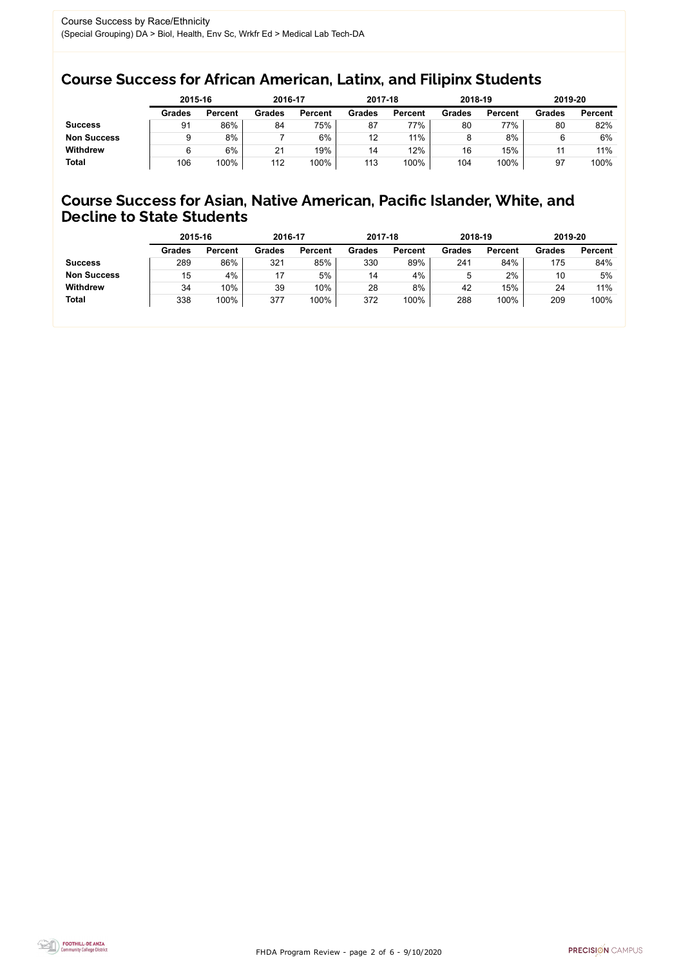FHDA Program Review - page 2 of 6 - 9/10/2020



### Course Success for African American, Latinx, and Filipinx Students

### Course Success for Asian, Native American, Pacific Islander, White, and Decline to State Students

|                    | 2015-16       |                | 2016-17       |                | 2017-18       |                | 2018-19       |                | 2019-20       |                |
|--------------------|---------------|----------------|---------------|----------------|---------------|----------------|---------------|----------------|---------------|----------------|
|                    | <b>Grades</b> | <b>Percent</b> | <b>Grades</b> | <b>Percent</b> | <b>Grades</b> | <b>Percent</b> | <b>Grades</b> | <b>Percent</b> | <b>Grades</b> | <b>Percent</b> |
| <b>Success</b>     | 91            | 86%            | 84            | 75%            | 87            | 77%            | 80            | 77%            | 80            | 82%            |
| <b>Non Success</b> |               | 8%             |               | 6%             | 12            | 11%            |               | 8%             |               | 6%             |
| <b>Withdrew</b>    |               | 6%             | 21            | 19%            | 14            | 12%            | 16            | 15%            |               | 11%            |
| <b>Total</b>       | 106           | 100%           | 112           | 100%           | 113           | 100%           | 104           | 100%           | 97            | 100%           |

|                    | 2015-16       |                | 2016-17       |                | 2017-18       |                | 2018-19       |                | 2019-20       |                |
|--------------------|---------------|----------------|---------------|----------------|---------------|----------------|---------------|----------------|---------------|----------------|
|                    | <b>Grades</b> | <b>Percent</b> | <b>Grades</b> | <b>Percent</b> | <b>Grades</b> | <b>Percent</b> | <b>Grades</b> | <b>Percent</b> | <b>Grades</b> | <b>Percent</b> |
| <b>Success</b>     | 289           | 86%            | 321           | 85%            | 330           | 89%            | 241           | 84%            | 175           | 84%            |
| <b>Non Success</b> | 15            | 4%             |               | 5%             | 14            | 4%             | 5             | 2%             | 10            | 5%             |
| <b>Withdrew</b>    | 34            | 10%            | 39            | 10%            | 28            | 8%             | 42            | 15%            | 24            | 11%            |
| <b>Total</b>       | 338           | 100%           | 377           | 100%           | 372           | 100%           | 288           | 100%           | 209           | 100%           |
|                    |               |                |               |                |               |                |               |                |               |                |

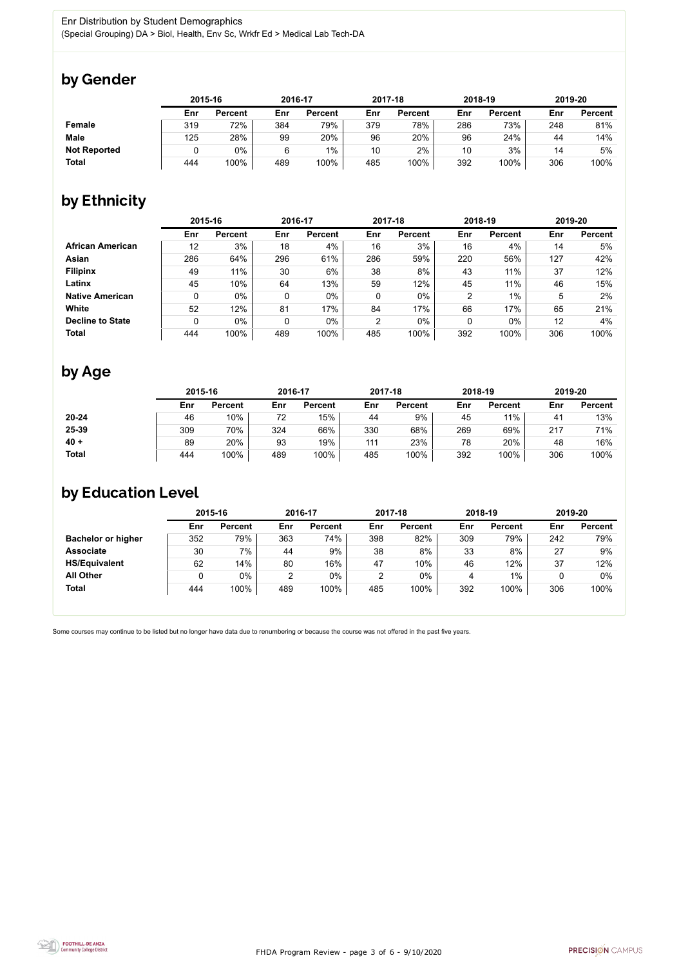FHDA Program Review - page 3 of 6 - 9/10/2020



Some courses may continue to be listed but no longer have data due to renumbering or because the course was not offered in the past five years.



## by Gender

|                     | 2015-16 |                |     | 2016-17        |     | 2017-18        |     | 2018-19        |     | 2019-20        |  |
|---------------------|---------|----------------|-----|----------------|-----|----------------|-----|----------------|-----|----------------|--|
|                     | Enr     | <b>Percent</b> | Enr | <b>Percent</b> | Enr | <b>Percent</b> | Enr | <b>Percent</b> | Enr | <b>Percent</b> |  |
| <b>Female</b>       | 319     | 72%            | 384 | 79%            | 379 | 78%            | 286 | 73%            | 248 | 81%            |  |
| <b>Male</b>         | 125     | 28%            | 99  | 20%            | 96  | 20%            | 96  | 24%            | 44  | 14%            |  |
| <b>Not Reported</b> |         | $0\%$          | 6   | $1\%$          | 10  | 2%             | 10  | 3%             | 14  | 5%             |  |
| <b>Total</b>        | 444     | 100%           | 489 | 100%           | 485 | 100%           | 392 | 100%           | 306 | 100%           |  |

## by Ethnicity

|                         | 2015-16 |                |     | 2016-17        |                | 2017-18        |                | 2018-19        | 2019-20 |                |
|-------------------------|---------|----------------|-----|----------------|----------------|----------------|----------------|----------------|---------|----------------|
|                         | Enr     | <b>Percent</b> | Enr | <b>Percent</b> | Enr            | <b>Percent</b> | Enr            | <b>Percent</b> | Enr     | <b>Percent</b> |
| <b>African American</b> | 12      | 3%             | 18  | 4%             | 16             | 3%             | 16             | 4%             | 14      | 5%             |
| Asian                   | 286     | 64%            | 296 | 61%            | 286            | 59%            | 220            | 56%            | 127     | 42%            |
| <b>Filipinx</b>         | 49      | 11%            | 30  | 6%             | 38             | 8%             | 43             | 11%            | 37      | 12%            |
| Latinx                  | 45      | 10%            | 64  | 13%            | 59             | 12%            | 45             | 11%            | 46      | 15%            |
| <b>Native American</b>  | 0       | $0\%$          | 0   | $0\%$          | 0              | 0%             | $\overline{2}$ | $1\%$          | 5       | 2%             |
| White                   | 52      | 12%            | 81  | 17%            | 84             | 17%            | 66             | 17%            | 65      | 21%            |
| <b>Decline to State</b> | 0       | $0\%$          | 0   | $0\%$          | $\overline{2}$ | 0%             | 0              | $0\%$          | 12      | 4%             |
| <b>Total</b>            | 444     | 100%           | 489 | 100%           | 485            | 100%           | 392            | 100%           | 306     | 100%           |

## by Age

|              |     | 2015-16        |     | 2016-17        |     | 2017-18        |     | 2018-19        |                | 2019-20        |  |
|--------------|-----|----------------|-----|----------------|-----|----------------|-----|----------------|----------------|----------------|--|
|              | Enr | <b>Percent</b> | Enr | <b>Percent</b> | Enr | <b>Percent</b> | Enr | <b>Percent</b> | Enr            | <b>Percent</b> |  |
| 20-24        | 46  | 10%            | 72  | 15%            | 44  | 9%             | 45  | 11%            | 4 <sup>′</sup> | 13%            |  |
| 25-39        | 309 | 70%            | 324 | 66%            | 330 | 68%            | 269 | 69%            | 217            | 71%            |  |
| $40 +$       | 89  | 20%            | 93  | 19%            | 111 | 23%            | 78  | 20%            | 48             | 16%            |  |
| <b>Total</b> | 444 | 100%           | 489 | 100%           | 485 | 100%           | 392 | 100%           | 306            | 100%           |  |

### by Education Level

|                           | 2015-16 |                |     | 2016-17        |     | 2017-18        |     | 2018-19        | 2019-20 |                |
|---------------------------|---------|----------------|-----|----------------|-----|----------------|-----|----------------|---------|----------------|
|                           | Enr     | <b>Percent</b> | Enr | <b>Percent</b> | Enr | <b>Percent</b> | Enr | <b>Percent</b> | Enr     | <b>Percent</b> |
| <b>Bachelor or higher</b> | 352     | 79%            | 363 | 74%            | 398 | 82%            | 309 | 79%            | 242     | 79%            |
| <b>Associate</b>          | 30      | 7%             | 44  | 9%             | 38  | 8%             | 33  | 8%             | 27      | 9%             |
| <b>HS/Equivalent</b>      | 62      | 14%            | 80  | 16%            | 47  | 10%            | 46  | 12%            | 37      | 12%            |
| <b>All Other</b>          |         | $0\%$          | 2   | $0\%$          |     | $0\%$          |     | 1%             |         | 0%             |
| <b>Total</b>              | 444     | 100%           | 489 | 100%           | 485 | 100%           | 392 | 100%           | 306     | 100%           |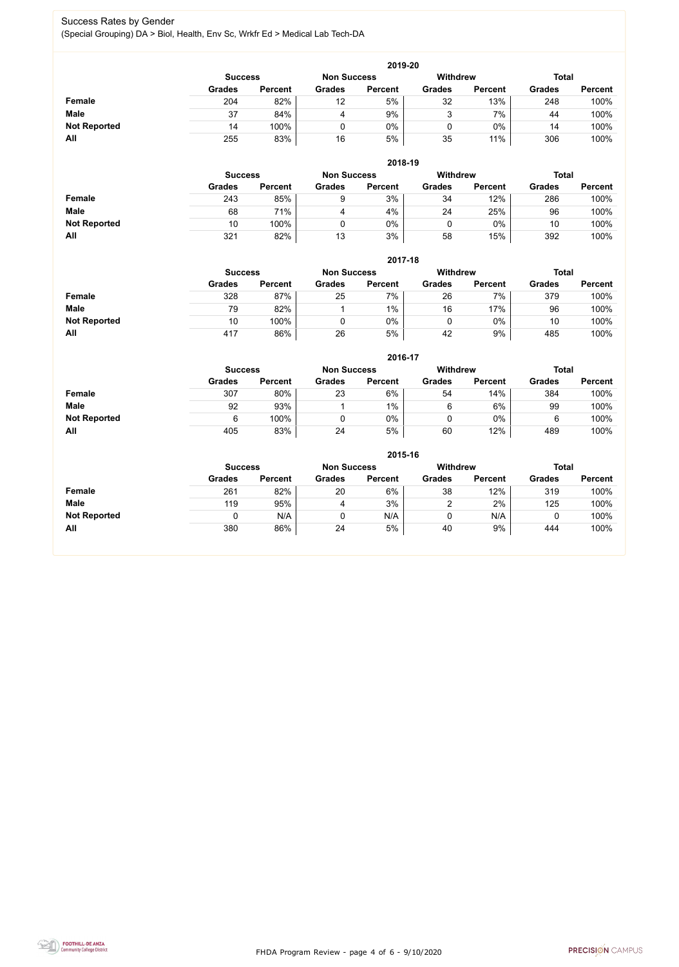FHDA Program Review - page 4 of 6 - 9/10/2020



#### Success Rates by Gender (Special Grouping) DA > Biol, Health, Env Sc, Wrkfr Ed > Medical Lab Tech-DA

|                     | 2019-20                                                                 |                |               |                |               |                |               |                |  |  |  |  |
|---------------------|-------------------------------------------------------------------------|----------------|---------------|----------------|---------------|----------------|---------------|----------------|--|--|--|--|
|                     | <b>Withdrew</b><br><b>Total</b><br><b>Non Success</b><br><b>Success</b> |                |               |                |               |                |               |                |  |  |  |  |
|                     | <b>Grades</b>                                                           | <b>Percent</b> | <b>Grades</b> | <b>Percent</b> | <b>Grades</b> | <b>Percent</b> | <b>Grades</b> | <b>Percent</b> |  |  |  |  |
| Female              | 204                                                                     | 82%            | 12            | 5%             | 32            | 13%            | 248           | 100%           |  |  |  |  |
| <b>Male</b>         | 37                                                                      | 84%            | 4             | 9%             |               | 7%             | 44            | 100%           |  |  |  |  |
| <b>Not Reported</b> | 14                                                                      | 100%           |               | $0\%$          |               | $0\%$          | 14            | 100%           |  |  |  |  |
| All                 | 255                                                                     | 83%            | 16            | 5%             | 35            | 11%            | 306           | 100%           |  |  |  |  |

|                     |                | 2018-19        |               |                                       |               |                |               |                |  |  |  |  |  |  |
|---------------------|----------------|----------------|---------------|---------------------------------------|---------------|----------------|---------------|----------------|--|--|--|--|--|--|
|                     | <b>Success</b> |                |               | <b>Withdrew</b><br><b>Non Success</b> |               |                | <b>Total</b>  |                |  |  |  |  |  |  |
|                     | <b>Grades</b>  | <b>Percent</b> | <b>Grades</b> | <b>Percent</b>                        | <b>Grades</b> | <b>Percent</b> | <b>Grades</b> | <b>Percent</b> |  |  |  |  |  |  |
| Female              | 243            | 85%            | 9             | 3%                                    | 34            | 12%            | 286           | 100%           |  |  |  |  |  |  |
| <b>Male</b>         | 68             | 71%            | 4             | 4%                                    | 24            | 25%            | 96            | 100%           |  |  |  |  |  |  |
| <b>Not Reported</b> | 10             | 100%           |               | 0%                                    |               | $0\%$          | 10            | 100%           |  |  |  |  |  |  |
| All                 | 321            | 82%            | 13            | 3%                                    | 58            | 15%            | 392           | 100%           |  |  |  |  |  |  |

|                     |               | 2017-18                                                                 |               |                |               |                |               |                |  |  |  |  |  |  |
|---------------------|---------------|-------------------------------------------------------------------------|---------------|----------------|---------------|----------------|---------------|----------------|--|--|--|--|--|--|
|                     |               | <b>Withdrew</b><br><b>Total</b><br><b>Non Success</b><br><b>Success</b> |               |                |               |                |               |                |  |  |  |  |  |  |
|                     | <b>Grades</b> | <b>Percent</b>                                                          | <b>Grades</b> | <b>Percent</b> | <b>Grades</b> | <b>Percent</b> | <b>Grades</b> | <b>Percent</b> |  |  |  |  |  |  |
| Female              | 328           | 87%                                                                     | 25            | $7\%$          | 26            | 7%             | 379           | 100%           |  |  |  |  |  |  |
| <b>Male</b>         | 79            | 82%                                                                     |               | $1\%$          | 16            | 17%            | 96            | 100%           |  |  |  |  |  |  |
| <b>Not Reported</b> | 10            | 100%                                                                    |               | $0\%$          |               | 0%             | 10            | 100%           |  |  |  |  |  |  |
| All                 | 417           | 86%                                                                     | 26            | 5%             | 42            | 9%             | 485           | 100%           |  |  |  |  |  |  |

|                     | 2016-17                                                                 |                |               |                |               |                |               |                |  |
|---------------------|-------------------------------------------------------------------------|----------------|---------------|----------------|---------------|----------------|---------------|----------------|--|
|                     | <b>Withdrew</b><br><b>Total</b><br><b>Non Success</b><br><b>Success</b> |                |               |                |               |                |               |                |  |
|                     | <b>Grades</b>                                                           | <b>Percent</b> | <b>Grades</b> | <b>Percent</b> | <b>Grades</b> | <b>Percent</b> | <b>Grades</b> | <b>Percent</b> |  |
| Female              | 307                                                                     | 80%            | 23            | 6%             | 54            | 14%            | 384           | 100%           |  |
| <b>Male</b>         | 92                                                                      | 93%            |               | 1%             | 6             | 6%             | 99            | 100%           |  |
| <b>Not Reported</b> | 6                                                                       | 100%           |               | 0%             |               | $0\%$          | 6             | 100%           |  |
| <b>All</b>          | 405                                                                     | 83%            | 24            | 5%             | 60            | 12%            | 489           | 100%           |  |

|                     | 2015-16                                                          |                |               |                |               |                |               |                |  |
|---------------------|------------------------------------------------------------------|----------------|---------------|----------------|---------------|----------------|---------------|----------------|--|
|                     | Withdrew<br><b>Total</b><br><b>Non Success</b><br><b>Success</b> |                |               |                |               |                |               |                |  |
|                     | <b>Grades</b>                                                    | <b>Percent</b> | <b>Grades</b> | <b>Percent</b> | <b>Grades</b> | <b>Percent</b> | <b>Grades</b> | <b>Percent</b> |  |
| Female              | 261                                                              | 82%            | 20            | 6%             | 38            | 12%            | 319           | 100%           |  |
| <b>Male</b>         | 119                                                              | 95%            | 4             | 3%             | ⌒             | 2%             | 125           | 100%           |  |
| <b>Not Reported</b> |                                                                  | N/A            | 0             | N/A            | υ             | N/A            |               | 100%           |  |
| All                 | 380                                                              | 86%            | 24            | 5%             | 40            | 9%             | 444           | 100%           |  |

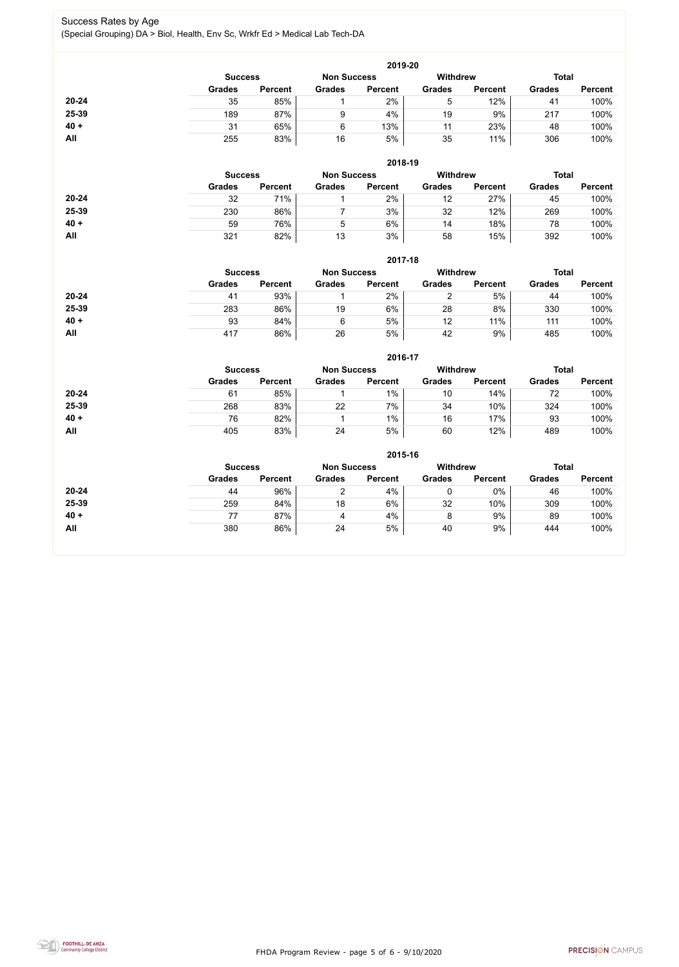FHDA Program Review - page 5 of 6 - 9/10/2020



#### Success Rates by Age (Special Grouping) DA > Biol, Health, Env Sc, Wrkfr Ed > Medical Lab Tech-DA

|           |               | 2019-20        |               |                |                 |                |               |                |  |  |
|-----------|---------------|----------------|---------------|----------------|-----------------|----------------|---------------|----------------|--|--|
|           |               | <b>Success</b> |               |                | <b>Withdrew</b> |                | <b>Total</b>  |                |  |  |
|           | <b>Grades</b> | <b>Percent</b> | <b>Grades</b> | <b>Percent</b> | <b>Grades</b>   | <b>Percent</b> | <b>Grades</b> | <b>Percent</b> |  |  |
| $20 - 24$ | 35            | 85%            |               | 2%             | 5               | 12%            | 41            | 100%           |  |  |
| 25-39     | 189           | 87%            | 9             | 4%             | 19              | 9%             | 217           | 100%           |  |  |
| $40 +$    | 31            | 65%            | 6             | 13%            | 11              | 23%            | 48            | 100%           |  |  |
| All       | 255           | 83%            | 16            | 5%             | 35              | 11%            | 306           | 100%           |  |  |
|           |               |                |               |                |                 |                |               |                |  |  |

|           | 2018-19                                                          |                |               |                |               |                |               |                |  |
|-----------|------------------------------------------------------------------|----------------|---------------|----------------|---------------|----------------|---------------|----------------|--|
|           | Withdrew<br><b>Total</b><br><b>Non Success</b><br><b>Success</b> |                |               |                |               |                |               |                |  |
|           | <b>Grades</b>                                                    | <b>Percent</b> | <b>Grades</b> | <b>Percent</b> | <b>Grades</b> | <b>Percent</b> | <b>Grades</b> | <b>Percent</b> |  |
| $20 - 24$ | 32                                                               | 71%            |               | 2%             | 12            | 27%            | 45            | 100%           |  |
| 25-39     | 230                                                              | 86%            |               | 3%             | 32            | 12%            | 269           | 100%           |  |
| $40 +$    | 59                                                               | 76%            | 5             | 6%             | 14            | 18%            | 78            | 100%           |  |
| All       | 321                                                              | 82%            | 13            | 3%             | 58            | 15%            | 392           | 100%           |  |

|           | 2017-18                                                 |                |               |                |               |                |               |                |  |
|-----------|---------------------------------------------------------|----------------|---------------|----------------|---------------|----------------|---------------|----------------|--|
|           | <b>Withdrew</b><br><b>Non Success</b><br><b>Success</b> |                |               |                |               |                |               | <b>Total</b>   |  |
|           | <b>Grades</b>                                           | <b>Percent</b> | <b>Grades</b> | <b>Percent</b> | <b>Grades</b> | <b>Percent</b> | <b>Grades</b> | <b>Percent</b> |  |
| $20 - 24$ | 41                                                      | 93%            |               | 2%             | ⌒             | 5%             | 44            | 100%           |  |
| 25-39     | 283                                                     | 86%            | 19            | 6%             | 28            | 8%             | 330           | 100%           |  |
| $40 +$    | 93                                                      | 84%            | 6             | 5%             | 12            | 11%            | 111           | 100%           |  |
| All       | 417                                                     | 86%            | 26            | 5%             | 42            | 9%             | 485           | 100%           |  |

|        | 2016-17                                                                 |                |               |                |               |                |               |                |  |
|--------|-------------------------------------------------------------------------|----------------|---------------|----------------|---------------|----------------|---------------|----------------|--|
|        | <b>Withdrew</b><br><b>Total</b><br><b>Non Success</b><br><b>Success</b> |                |               |                |               |                |               |                |  |
|        | <b>Grades</b>                                                           | <b>Percent</b> | <b>Grades</b> | <b>Percent</b> | <b>Grades</b> | <b>Percent</b> | <b>Grades</b> | <b>Percent</b> |  |
| 20-24  | 61                                                                      | 85%            |               | $1\%$          | 10            | 14%            | 72            | 100%           |  |
| 25-39  | 268                                                                     | 83%            | 22            | 7%             | 34            | 10%            | 324           | 100%           |  |
| $40 +$ | 76                                                                      | 82%            |               | $1\%$          | 16            | 17%            | 93            | 100%           |  |
| All    | 405                                                                     | 83%            | 24            | 5%             | 60            | 12%            | 489           | 100%           |  |

|           |               |                |               | 2015-16        |                 |                |               |                |  |
|-----------|---------------|----------------|---------------|----------------|-----------------|----------------|---------------|----------------|--|
|           |               | <b>Success</b> |               |                | <b>Withdrew</b> |                | <b>Total</b>  |                |  |
|           | <b>Grades</b> | <b>Percent</b> | <b>Grades</b> | <b>Percent</b> | <b>Grades</b>   | <b>Percent</b> | <b>Grades</b> | <b>Percent</b> |  |
| $20 - 24$ | 44            | 96%            |               | 4%             | U               | 0%             | 46            | 100%           |  |
| 25-39     | 259           | 84%            | 18            | 6%             | 32              | 10%            | 309           | 100%           |  |
| $40 +$    | 77            | 87%            | 4             | 4%             | 8               | 9%             | 89            | 100%           |  |
| All       | 380           | 86%            | 24            | 5%             | 40              | 9%             | 444           | 100%           |  |
|           |               |                |               |                |                 |                |               |                |  |